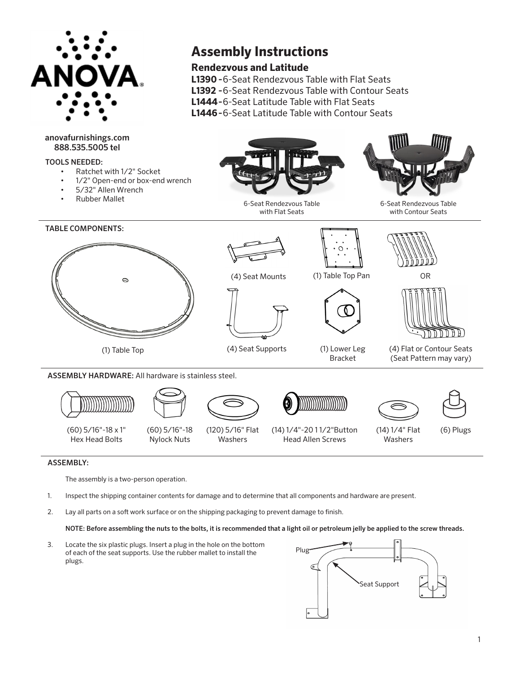

# anovafurnishings.com 888.535.5005 tel

### TOOLS NEEDED:





# **Rendezvous and Latitude**

- **L1390 -** 6-Seat Rendezvous Table with Flat Seats
- **L1392 -** 6-Seat Rendezvous Table with Contour Seats
- **L1444 -** 6-Seat Latitude Table with Flat Seats
- **L1446**  6-Seat Latitude Table with Contour Seats



(60) 5/16"-18 x 1" Hex Head Bolts

(60) 5/16"-18 Nylock Nuts (120) 5/16" Flat Washers

(14) 1/4"-20 1 1/2"Button Head Allen Screws



(6) Plugs

# ASSEMBLY:

The assembly is a two-person operation.

- 1. Inspect the shipping container contents for damage and to determine that all components and hardware are present.
- 2. Lay all parts on a soft work surface or on the shipping packaging to prevent damage to finish.

#### NOTE: Before assembling the nuts to the bolts, it is recommended that a light oil or petroleum jelly be applied to the screw threads.

3. Locate the six plastic plugs. Insert a plug in the hole on the bottom of each of the seat supports. Use the rubber mallet to install the plugs.

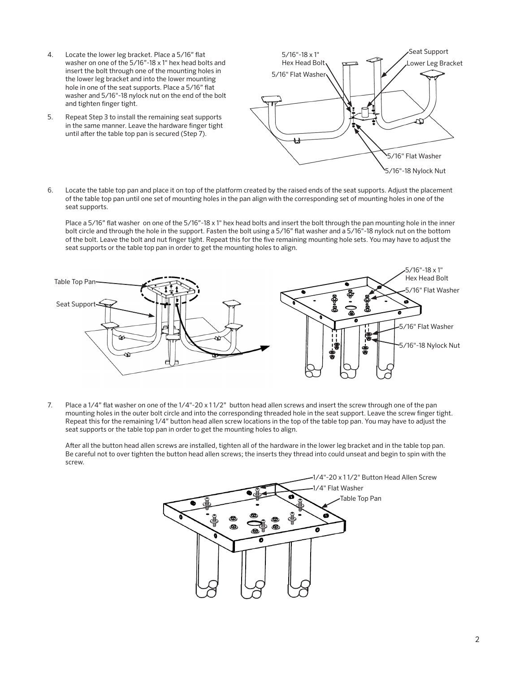- 4. Locate the lower leg bracket. Place a 5/16" flat washer on one of the 5/16"-18 x 1" hex head bolts and insert the bolt through one of the mounting holes in the lower leg bracket and into the lower mounting hole in one of the seat supports. Place a 5/16" flat washer and 5/16"-18 nylock nut on the end of the bolt and tighten finger tight.
- 5. Repeat Step 3 to install the remaining seat supports in the same manner. Leave the hardware finger tight until after the table top pan is secured (Step 7).



6. Locate the table top pan and place it on top of the platform created by the raised ends of the seat supports. Adjust the placement of the table top pan until one set of mounting holes in the pan align with the corresponding set of mounting holes in one of the seat supports.

Place a 5/16" flat washer on one of the 5/16"-18 x 1" hex head bolts and insert the bolt through the pan mounting hole in the inner bolt circle and through the hole in the support. Fasten the bolt using a 5/16" flat washer and a 5/16"-18 nylock nut on the bottom of the bolt. Leave the bolt and nut finger tight. Repeat this for the five remaining mounting hole sets. You may have to adjust the seat supports or the table top pan in order to get the mounting holes to align.



7. Place a 1/4" flat washer on one of the 1/4"-20 x 1 1/2" button head allen screws and insert the screw through one of the pan mounting holes in the outer bolt circle and into the corresponding threaded hole in the seat support. Leave the screw finger tight. Repeat this for the remaining 1/4" button head allen screw locations in the top of the table top pan. You may have to adjust the seat supports or the table top pan in order to get the mounting holes to align.

After all the button head allen screws are installed, tighten all of the hardware in the lower leg bracket and in the table top pan. Be careful not to over tighten the button head allen screws; the inserts they thread into could unseat and begin to spin with the screw.

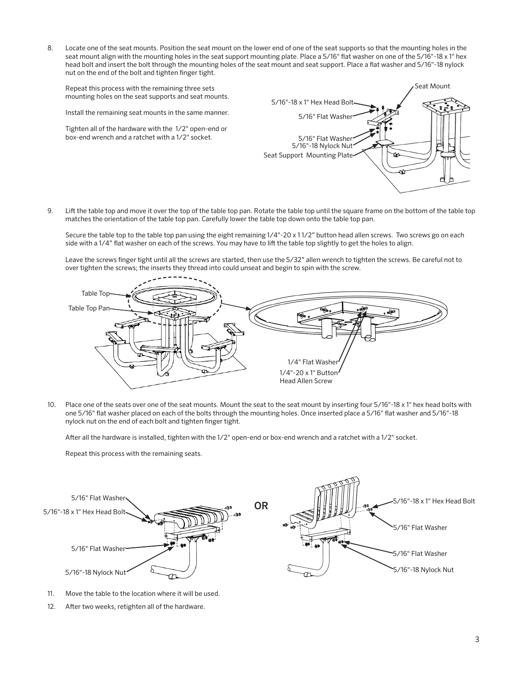8. Locate one of the seat mounts. Position the seat mount on the lower end of one of the seat supports so that the mounting holes in the seat mount align with the mounting holes in the seat support mounting plate. Place a 5/16" flat washer on one of the 5/16"-18 x 1" hex head bolt and insert the bolt through the mounting holes of the seat mount and seat support. Place a flat washer and 5/16"-18 nylock nut on the end of the bolt and tighten finger tight.

Repeat this process with the remaining three sets mounting holes on the seat supports and seat mounts.

Install the remaining seat mounts in the same manner.

Tighten all of the hardware with the 1/2" open-end or box-end wrench and a ratchet with a 1/2" socket.



9. Lift the table top and move it over the top of the table top pan. Rotate the table top until the square frame on the bottom of the table top matches the orientation of the table top pan. Carefully lower the table top down onto the table top pan.

Secure the table top to the table top pan using the eight remaining 1/4"-20 x 1 1/2" button head allen screws. Two screws go on each side with a 1/4" flat washer on each of the screws. You may have to lift the table top slightly to get the holes to align.

Leave the screws finger tight until all the screws are started, then use the 5/32" allen wrench to tighten the screws. Be careful not to over tighten the screws; the inserts they thread into could unseat and begin to spin with the screw.



10. Place one of the seats over one of the seat mounts. Mount the seat to the seat mount by inserting four 5/16"-18 x 1" hex head bolts with one 5/16" flat washer placed on each of the bolts through the mounting holes. Once inserted place a 5/16" flat washer and 5/16"-18 nylock nut on the end of each bolt and tighten finger tight.

After all the hardware is installed, tighten with the 1/2" open-end or box-end wrench and a ratchet with a 1/2" socket.

Repeat this process with the remaining seats.



- 11. Move the table to the location where it will be used.
- 12. After two weeks, retighten all of the hardware.